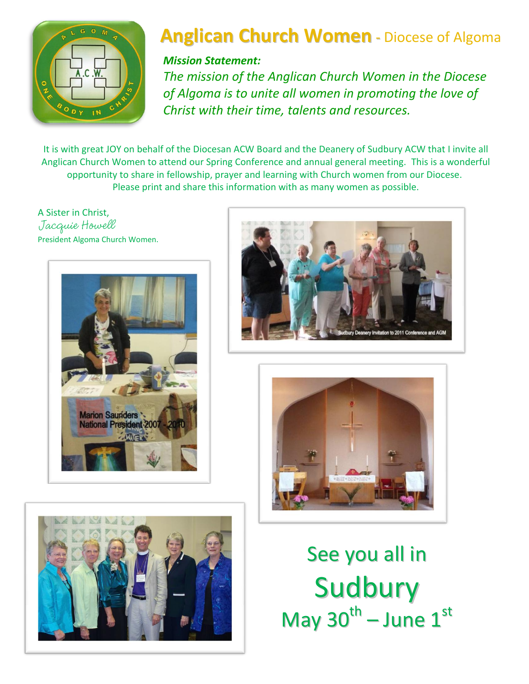

# **Anglican Church Women** - Diocese of Algoma

### *Mission Statement:*

*The mission of the Anglican Church Women in the Diocese of Algoma is to unite all women in promoting the love of Christ with their time, talents and resources.*

It is with great JOY on behalf of the Diocesan ACW Board and the Deanery of Sudbury ACW that I invite all Anglican Church Women to attend our Spring Conference and annual general meeting. This is a wonderful opportunity to share in fellowship, prayer and learning with Church women from our Diocese. Please print and share this information with as many women as possible.

A Sister in Christ, Jacquie Howell President Algoma Church Women.









See you all in Sudbury May 30<sup>th</sup> – June  $1^{\text{st}}$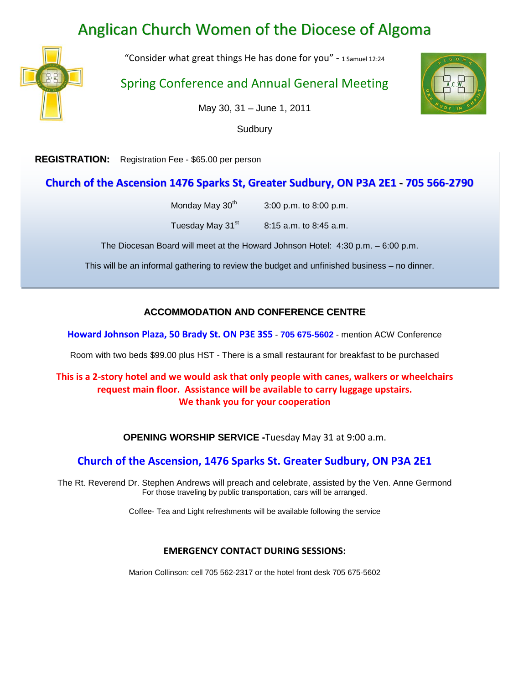## Anglican Church Women of the Diocese of Algoma



"Consider what great things He has done for you" - 1 Samuel 12:24

Spring Conference and Annual General Meeting

May 30, 31 – June 1, 2011

Sudbury

**REGISTRATION:** Registration Fee - \$65.00 per person

#### **Church of the [Ascension](http://maps.google.ca/maps?f=d&source=s_d&saddr=Church+of+Acension&daddr=50+Brady+St,+ON+P3E+3S5+(Howard+Johnson+Plaza)&geocode=FWLixQIdbeks-ymV1ysznwAvTTG_9Gxoffv7Kw%3BFThWxQIdHw8s-yEUahpsHuueNg&gl=ca&hl=en&mra=ls&sll=46.489293,-80.970612&sspn=0.047511,0.1684&ie=UTF8&ll=46.509617,-80.948982&spn=0.04454,0.1684&z=13&dirflg=d) 1476 Sparks St, Greater Sudbury, ON P3A 2E1 - 705 566-2790**

Monday May  $30^{th}$  3:00 p.m. to 8:00 p.m.

Tuesday May  $31<sup>st</sup>$  8:15 a.m. to 8:45 a.m.

The Diocesan Board will meet at the Howard Johnson Hotel: 4:30 p.m. – 6:00 p.m.

This will be an informal gathering to review the budget and unfinished business – no dinner.

#### **ACCOMMODATION AND CONFERENCE CENTRE**

**[Howard Johnson Plaza, 50 Brady St.](http://maps.google.ca/maps?f=d&source=s_d&saddr=Church+of+Acension&daddr=50+Brady+St,+ON+P3E+3S5+(Howard+Johnson+Plaza)&geocode=FWLixQIdbeks-ymV1ysznwAvTTG_9Gxoffv7Kw%3BFThWxQIdHw8s-yEUahpsHuueNg&gl=ca&hl=en&mra=ls&sll=46.489293,-80.970612&sspn=0.047511,0.1684&ie=UTF8&ll=46.509617,-80.948982&spn=0.04454,0.1684&z=13&dirflg=d) ON P3E 3S5** - **705 675-5602** - mention ACW Conference

Room with two beds \$99.00 plus HST - There is a small restaurant for breakfast to be purchased

#### **This is a 2-story hotel and we would ask that only people with canes, walkers or wheelchairs request main floor. Assistance will be available to carry luggage upstairs. We thank you for your cooperation**

**OPENING WORSHIP SERVICE -**Tuesday May 31 at 9:00 a.m.

#### **Church of the Ascension, 1476 Sparks St. [Greater Sudbury, ON P3A 2E1](http://maps.google.ca/maps?f=d&source=s_d&saddr=Church+of+Acension&daddr=50+Brady+St,+ON+P3E+3S5+(Howard+Johnson+Plaza)&geocode=FWLixQIdbeks-ymV1ysznwAvTTG_9Gxoffv7Kw%3BFThWxQIdHw8s-yEUahpsHuueNg&gl=ca&hl=en&mra=ls&sll=46.489293,-80.970612&sspn=0.047511,0.1684&ie=UTF8&ll=46.509617,-80.948982&spn=0.04454,0.1684&z=13&dirflg=d)**

The Rt. Reverend Dr. Stephen Andrews will preach and celebrate, assisted by the Ven. Anne Germond For those traveling by public transportation, cars will be arranged.

Coffee- Tea and Light refreshments will be available following the service

#### **EMERGENCY CONTACT DURING SESSIONS:**

Marion Collinson: cell 705 562-2317 or the hotel front desk 705 675-5602

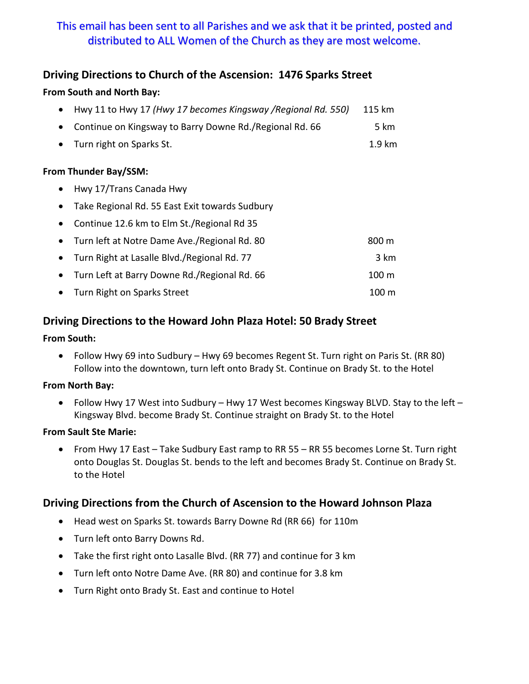### This email has been sent to all Parishes and we ask that it be printed, posted and distributed to ALL Women of the Church as they are most welcome.

#### **Driving Directions to Church of the Ascension: 1476 Sparks Street**

#### **From South and North Bay:**

| • Hwy 11 to Hwy 17 (Hwy 17 becomes Kingsway / Regional Rd. 550) | 115 km |
|-----------------------------------------------------------------|--------|
| • Continue on Kingsway to Barry Downe Rd./Regional Rd. 66       | 5 km   |

• Turn right on Sparks St. 1.9 km

#### **From Thunder Bay/SSM:**

- Hwy 17/Trans Canada Hwy
- Take Regional Rd. 55 East Exit towards Sudbury
- Continue 12.6 km to Elm St./Regional Rd 35

| • Turn left at Notre Dame Ave./Regional Rd. 80 | 800 m           |
|------------------------------------------------|-----------------|
| • Turn Right at Lasalle Blvd./Regional Rd. 77  | 3 km            |
| • Turn Left at Barry Downe Rd./Regional Rd. 66 | 100 m           |
| • Turn Right on Sparks Street                  | $100 \text{ m}$ |

#### **Driving Directions to the Howard John Plaza Hotel: 50 Brady Street**

#### **From South:**

• Follow Hwy 69 into Sudbury – Hwy 69 becomes Regent St. Turn right on Paris St. (RR 80) Follow into the downtown, turn left onto Brady St. Continue on Brady St. to the Hotel

#### **From North Bay:**

• Follow Hwy 17 West into Sudbury – Hwy 17 West becomes Kingsway BLVD. Stay to the left – Kingsway Blvd. become Brady St. Continue straight on Brady St. to the Hotel

#### **From Sault Ste Marie:**

• From Hwy 17 East – Take Sudbury East ramp to RR 55 – RR 55 becomes Lorne St. Turn right onto Douglas St. Douglas St. bends to the left and becomes Brady St. Continue on Brady St. to the Hotel

#### **Driving Directions from the Church of Ascension to the Howard Johnson Plaza**

- Head west on Sparks St. towards Barry Downe Rd (RR 66) for 110m
- Turn left onto Barry Downs Rd.
- Take the first right onto Lasalle Blvd. (RR 77) and continue for 3 km
- Turn left onto Notre Dame Ave. (RR 80) and continue for 3.8 km
- Turn Right onto Brady St. East and continue to Hotel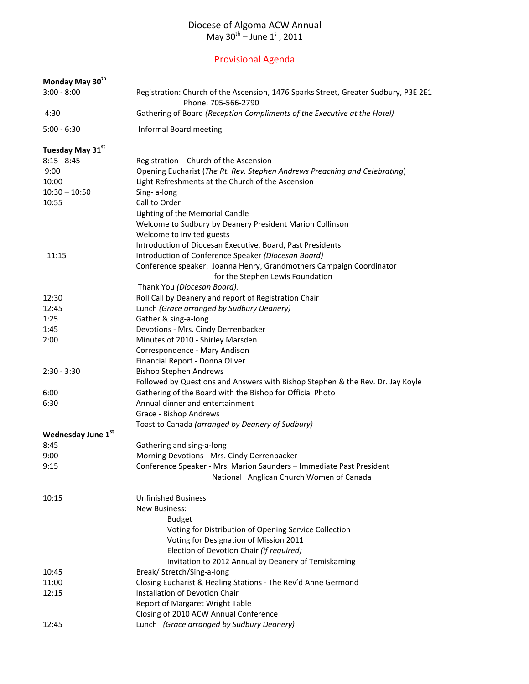#### Diocese of Algoma ACW Annual May 30<sup>th</sup> – June 1<sup>s</sup>, 2011

### Provisional Agenda

| Monday May 30 <sup>th</sup> |                                                                                                            |  |  |  |
|-----------------------------|------------------------------------------------------------------------------------------------------------|--|--|--|
| $3:00 - 8:00$               | Registration: Church of the Ascension, 1476 Sparks Street, Greater Sudbury, P3E 2E1<br>Phone: 705-566-2790 |  |  |  |
| 4:30                        | Gathering of Board (Reception Compliments of the Executive at the Hotel)                                   |  |  |  |
| $5:00 - 6:30$               | Informal Board meeting                                                                                     |  |  |  |
| Tuesday May 31st            |                                                                                                            |  |  |  |
| $8:15 - 8:45$               | Registration - Church of the Ascension                                                                     |  |  |  |
| 9:00                        | Opening Eucharist (The Rt. Rev. Stephen Andrews Preaching and Celebrating)                                 |  |  |  |
| 10:00                       | Light Refreshments at the Church of the Ascension                                                          |  |  |  |
| $10:30 - 10:50$             | Sing-a-long                                                                                                |  |  |  |
| 10:55                       | Call to Order                                                                                              |  |  |  |
|                             | Lighting of the Memorial Candle                                                                            |  |  |  |
|                             | Welcome to Sudbury by Deanery President Marion Collinson                                                   |  |  |  |
|                             | Welcome to invited guests                                                                                  |  |  |  |
|                             | Introduction of Diocesan Executive, Board, Past Presidents                                                 |  |  |  |
| 11:15                       | Introduction of Conference Speaker (Diocesan Board)                                                        |  |  |  |
|                             | Conference speaker: Joanna Henry, Grandmothers Campaign Coordinator                                        |  |  |  |
|                             | for the Stephen Lewis Foundation                                                                           |  |  |  |
|                             | Thank You (Diocesan Board).                                                                                |  |  |  |
| 12:30                       | Roll Call by Deanery and report of Registration Chair                                                      |  |  |  |
| 12:45                       | Lunch (Grace arranged by Sudbury Deanery)                                                                  |  |  |  |
| 1:25                        | Gather & sing-a-long                                                                                       |  |  |  |
| 1:45                        | Devotions - Mrs. Cindy Derrenbacker                                                                        |  |  |  |
| 2:00                        | Minutes of 2010 - Shirley Marsden                                                                          |  |  |  |
|                             | Correspondence - Mary Andison                                                                              |  |  |  |
|                             | Financial Report - Donna Oliver                                                                            |  |  |  |
| $2:30 - 3:30$               | <b>Bishop Stephen Andrews</b>                                                                              |  |  |  |
|                             | Followed by Questions and Answers with Bishop Stephen & the Rev. Dr. Jay Koyle                             |  |  |  |
| 6:00                        | Gathering of the Board with the Bishop for Official Photo<br>Annual dinner and entertainment               |  |  |  |
| 6:30                        |                                                                                                            |  |  |  |
|                             | Grace - Bishop Andrews<br>Toast to Canada (arranged by Deanery of Sudbury)                                 |  |  |  |
| Wednesday June 1st          |                                                                                                            |  |  |  |
| 8:45                        | Gathering and sing-a-long                                                                                  |  |  |  |
| 9:00                        | Morning Devotions - Mrs. Cindy Derrenbacker                                                                |  |  |  |
| 9:15                        | Conference Speaker - Mrs. Marion Saunders - Immediate Past President                                       |  |  |  |
|                             | National Anglican Church Women of Canada                                                                   |  |  |  |
| 10:15                       | <b>Unfinished Business</b>                                                                                 |  |  |  |
|                             | New Business:                                                                                              |  |  |  |
|                             | <b>Budget</b>                                                                                              |  |  |  |
|                             | Voting for Distribution of Opening Service Collection                                                      |  |  |  |
|                             | Voting for Designation of Mission 2011                                                                     |  |  |  |
|                             | Election of Devotion Chair (if required)                                                                   |  |  |  |
|                             | Invitation to 2012 Annual by Deanery of Temiskaming                                                        |  |  |  |
| 10:45                       | Break/ Stretch/Sing-a-long                                                                                 |  |  |  |
| 11:00                       | Closing Eucharist & Healing Stations - The Rev'd Anne Germond                                              |  |  |  |
| 12:15                       | Installation of Devotion Chair                                                                             |  |  |  |
|                             | Report of Margaret Wright Table                                                                            |  |  |  |
|                             | Closing of 2010 ACW Annual Conference                                                                      |  |  |  |
| 12:45                       | Lunch (Grace arranged by Sudbury Deanery)                                                                  |  |  |  |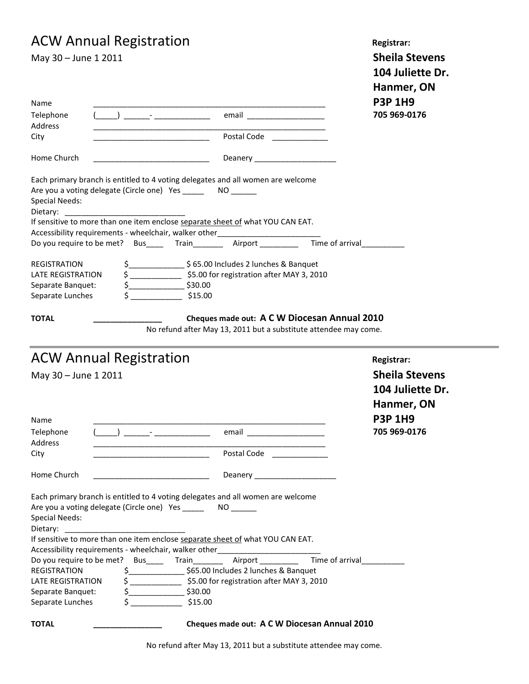## ACW Annual Registration **Registrar:**

| ACW ANNUALINGSISU AUVIT                                                                                                                                                                                                                                                |                                                                                                                                                                    |                                  |                                                                  | Registrar:                                              |
|------------------------------------------------------------------------------------------------------------------------------------------------------------------------------------------------------------------------------------------------------------------------|--------------------------------------------------------------------------------------------------------------------------------------------------------------------|----------------------------------|------------------------------------------------------------------|---------------------------------------------------------|
| May 30 - June 1 2011                                                                                                                                                                                                                                                   |                                                                                                                                                                    |                                  |                                                                  | <b>Sheila Stevens</b><br>104 Juliette Dr.<br>Hanmer, ON |
| Name                                                                                                                                                                                                                                                                   |                                                                                                                                                                    |                                  |                                                                  | <b>P3P 1H9</b>                                          |
| Telephone                                                                                                                                                                                                                                                              |                                                                                                                                                                    |                                  |                                                                  | 705 969-0176                                            |
| <b>Address</b>                                                                                                                                                                                                                                                         | <u> 1989 - Johann Harry Harry Harry Harry Harry Harry Harry Harry Harry Harry Harry Harry Harry Harry Harry Harry</u>                                              |                                  |                                                                  |                                                         |
| City                                                                                                                                                                                                                                                                   |                                                                                                                                                                    | Postal Code _____________        |                                                                  |                                                         |
| Home Church                                                                                                                                                                                                                                                            | <u> 1980 - Johann John Stone, mars eta bat eta bat eta bat eta bat ez arteko hamarkada eta bat ez arteko hamarka</u>                                               | Deanery ________________________ |                                                                  |                                                         |
| Are you a voting delegate (Circle one) Yes ______ NO ______<br><b>Special Needs:</b><br>Dietary:<br>If sensitive to more than one item enclose separate sheet of what YOU CAN EAT.<br>Accessibility requirements - wheelchair, walker other___________________________ |                                                                                                                                                                    |                                  |                                                                  |                                                         |
| Do you require to be met? Bus_____ Train________ Airport __________ Time of arrival                                                                                                                                                                                    |                                                                                                                                                                    |                                  |                                                                  |                                                         |
| <b>REGISTRATION</b><br><b>LATE REGISTRATION</b><br>Separate Banquet:<br>Separate Lunches                                                                                                                                                                               | \$ ____________________ \$ 65.00 Includes 2 lunches & Banquet<br>\$ ________________ \$5.00 for registration after MAY 3, 2010<br>$\frac{2}{5}$ \$30.00<br>\$15.00 |                                  |                                                                  |                                                         |
| TOTAL                                                                                                                                                                                                                                                                  |                                                                                                                                                                    |                                  | Cheques made out: A C W Diocesan Annual 2010                     |                                                         |
|                                                                                                                                                                                                                                                                        |                                                                                                                                                                    |                                  | No refund after May 13, 2011 but a substitute attendee may come. |                                                         |

## ACW Annual Registration<br>
Registrar:

| May 30 - June 1 2011                                                                                                                                                                                                                                                                                                                                                   |                                                                                                                                                 |  |                              |                                              | <b>Sheila Stevens</b><br>104 Juliette Dr.<br>Hanmer, ON |  |
|------------------------------------------------------------------------------------------------------------------------------------------------------------------------------------------------------------------------------------------------------------------------------------------------------------------------------------------------------------------------|-------------------------------------------------------------------------------------------------------------------------------------------------|--|------------------------------|----------------------------------------------|---------------------------------------------------------|--|
| Name                                                                                                                                                                                                                                                                                                                                                                   |                                                                                                                                                 |  |                              |                                              | <b>P3P 1H9</b>                                          |  |
| Telephone<br>Address                                                                                                                                                                                                                                                                                                                                                   |                                                                                                                                                 |  |                              |                                              | 705 969-0176                                            |  |
| City                                                                                                                                                                                                                                                                                                                                                                   |                                                                                                                                                 |  | Postal Code                  |                                              |                                                         |  |
| Home Church                                                                                                                                                                                                                                                                                                                                                            | <u> 1989 - Johann John Harry Harry Harry Harry Harry Harry Harry Harry Harry Harry Harry Harry Harry Harry Harry</u>                            |  | Deanery ____________________ |                                              |                                                         |  |
| <b>Special Needs:</b>                                                                                                                                                                                                                                                                                                                                                  | Each primary branch is entitled to 4 voting delegates and all women are welcome<br>Are you a voting delegate (Circle one) Yes _______ NO ______ |  |                              |                                              |                                                         |  |
| If sensitive to more than one item enclose separate sheet of what YOU CAN EAT.<br>Accessibility requirements - wheelchair, walker other___________________________                                                                                                                                                                                                     |                                                                                                                                                 |  |                              |                                              |                                                         |  |
| Do you require to be met? Bus ______ Train______________Airport _______________Time of arrival___________<br>\$ ______________________ \$65.00 Includes 2 lunches & Banquet<br><b>REGISTRATION</b><br>\$ _________________ \$5.00 for registration after MAY 3, 2010<br>LATE REGISTRATION<br>$\frac{2}{3}$ \$30.00<br>Separate Banquet:<br>\$15.00<br>Separate Lunches |                                                                                                                                                 |  |                              |                                              |                                                         |  |
| <b>TOTAL</b>                                                                                                                                                                                                                                                                                                                                                           |                                                                                                                                                 |  |                              | Cheques made out: A C W Diocesan Annual 2010 |                                                         |  |

No refund after May 13, 2011 but a substitute attendee may come.